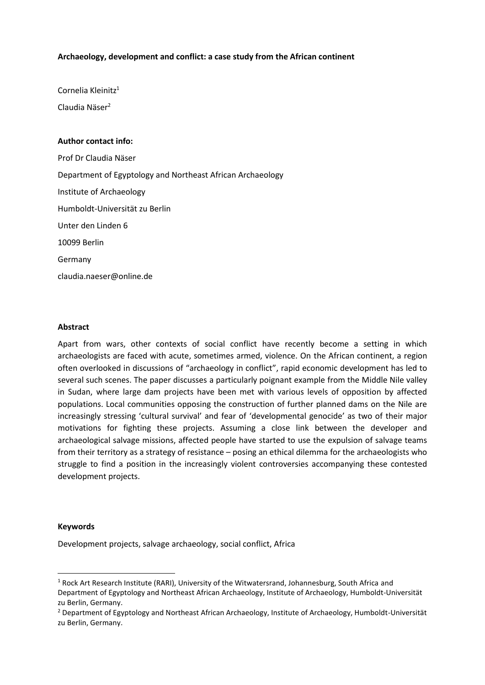# **Archaeology, development and conflict: a case study from the African continent**

Cornelia Kleinitz<sup>1</sup>

Claudia Näser<sup>2</sup>

#### **Author contact info:**

Prof Dr Claudia Näser Department of Egyptology and Northeast African Archaeology Institute of Archaeology Humboldt-Universität zu Berlin Unter den Linden 6 10099 Berlin Germany

claudia.naeser@online.de

#### **Abstract**

Apart from wars, other contexts of social conflict have recently become a setting in which archaeologists are faced with acute, sometimes armed, violence. On the African continent, a region often overlooked in discussions of "archaeology in conflict", rapid economic development has led to several such scenes. The paper discusses a particularly poignant example from the Middle Nile valley in Sudan, where large dam projects have been met with various levels of opposition by affected populations. Local communities opposing the construction of further planned dams on the Nile are increasingly stressing 'cultural survival' and fear of 'developmental genocide' as two of their major motivations for fighting these projects. Assuming a close link between the developer and archaeological salvage missions, affected people have started to use the expulsion of salvage teams from their territory as a strategy of resistance – posing an ethical dilemma for the archaeologists who struggle to find a position in the increasingly violent controversies accompanying these contested development projects.

#### **Keywords**

Development projects, salvage archaeology, social conflict, Africa

 $1$  Rock Art Research Institute (RARI), University of the Witwatersrand, Johannesburg, South Africa and Department of Egyptology and Northeast African Archaeology, Institute of Archaeology, Humboldt-Universität zu Berlin, Germany.

<sup>2</sup> Department of Egyptology and Northeast African Archaeology, Institute of Archaeology, Humboldt-Universität zu Berlin, Germany.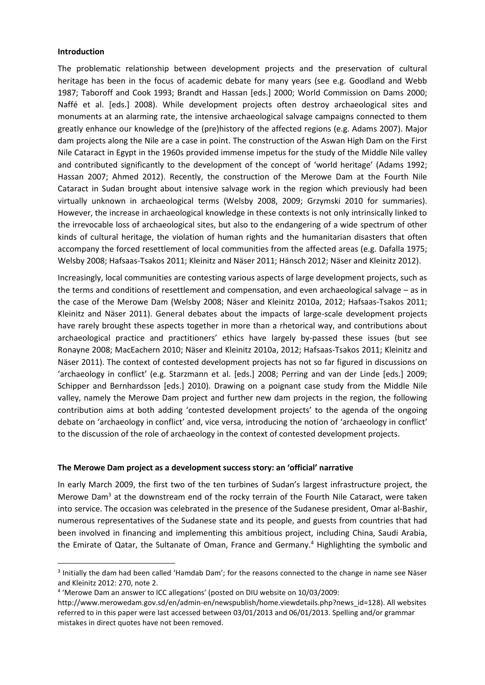#### **Introduction**

The problematic relationship between development projects and the preservation of cultural heritage has been in the focus of academic debate for many years (see e.g. Goodland and Webb 1987; Taboroff and Cook 1993; Brandt and Hassan [eds.] 2000; World Commission on Dams 2000; Naffé et al. [eds.] 2008). While development projects often destroy archaeological sites and monuments at an alarming rate, the intensive archaeological salvage campaigns connected to them greatly enhance our knowledge of the (pre)history of the affected regions (e.g. Adams 2007). Major dam projects along the Nile are a case in point. The construction of the Aswan High Dam on the First Nile Cataract in Egypt in the 1960s provided immense impetus for the study of the Middle Nile valley and contributed significantly to the development of the concept of 'world heritage' (Adams 1992; Hassan 2007; Ahmed 2012). Recently, the construction of the Merowe Dam at the Fourth Nile Cataract in Sudan brought about intensive salvage work in the region which previously had been virtually unknown in archaeological terms (Welsby 2008, 2009; Grzymski 2010 for summaries). However, the increase in archaeological knowledge in these contexts is not only intrinsically linked to the irrevocable loss of archaeological sites, but also to the endangering of a wide spectrum of other kinds of cultural heritage, the violation of human rights and the humanitarian disasters that often accompany the forced resettlement of local communities from the affected areas (e.g. Dafalla 1975; Welsby 2008; Hafsaas-Tsakos 2011; Kleinitz and Näser 2011; Hänsch 2012; Näser and Kleinitz 2012).

Increasingly, local communities are contesting various aspects of large development projects, such as the terms and conditions of resettlement and compensation, and even archaeological salvage – as in the case of the Merowe Dam (Welsby 2008; Näser and Kleinitz 2010a, 2012; Hafsaas-Tsakos 2011; Kleinitz and Näser 2011). General debates about the impacts of large-scale development projects have rarely brought these aspects together in more than a rhetorical way, and contributions about archaeological practice and practitioners' ethics have largely by-passed these issues (but see Ronayne 2008; MacEachern 2010; Näser and Kleinitz 2010a, 2012; Hafsaas-Tsakos 2011; Kleinitz and Näser 2011). The context of contested development projects has not so far figured in discussions on 'archaeology in conflict' (e.g. Starzmann et al. [eds.] 2008; Perring and van der Linde [eds.] 2009; Schipper and Bernhardsson [eds.] 2010). Drawing on a poignant case study from the Middle Nile valley, namely the Merowe Dam project and further new dam projects in the region, the following contribution aims at both adding 'contested development projects' to the agenda of the ongoing debate on 'archaeology in conflict' and, vice versa, introducing the notion of 'archaeology in conflict' to the discussion of the role of archaeology in the context of contested development projects.

# **The Merowe Dam project as a development success story: an 'official' narrative**

In early March 2009, the first two of the ten turbines of Sudan's largest infrastructure project, the Merowe Dam<sup>3</sup> at the downstream end of the rocky terrain of the Fourth Nile Cataract, were taken into service. The occasion was celebrated in the presence of the Sudanese president, Omar al-Bashir, numerous representatives of the Sudanese state and its people, and guests from countries that had been involved in financing and implementing this ambitious project, including China, Saudi Arabia, the Emirate of Qatar, the Sultanate of Oman, France and Germany.<sup>4</sup> Highlighting the symbolic and

<sup>&</sup>lt;sup>3</sup> Initially the dam had been called 'Hamdab Dam'; for the reasons connected to the change in name see Näser and Kleinitz 2012: 270, note 2.

<sup>4</sup> 'Merowe Dam an answer to ICC allegations' (posted on DIU website on 10/03/2009:

http://www.merowedam.gov.sd/en/admin-en/newspublish/home.viewdetails.php?news\_id=128). All websites referred to in this paper were last accessed between 03/01/2013 and 06/01/2013. Spelling and/or grammar mistakes in direct quotes have not been removed.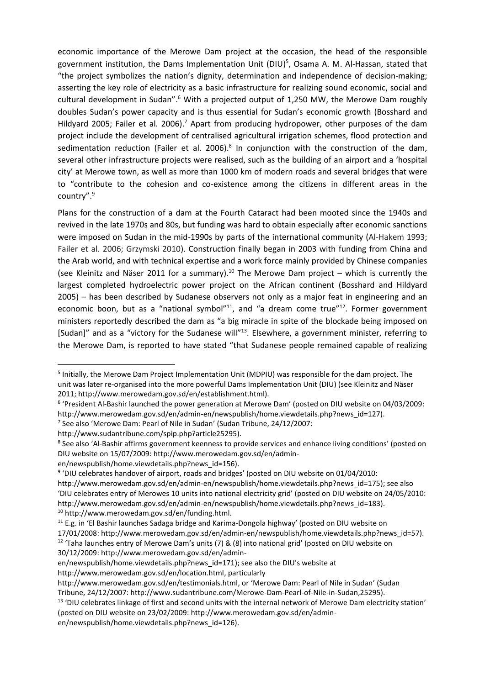economic importance of the Merowe Dam project at the occasion, the head of the responsible government institution, the Dams Implementation Unit (DIU)<sup>5</sup>, Osama A. M. Al-Hassan, stated that "the project symbolizes the nation's dignity, determination and independence of decision-making; asserting the key role of electricity as a basic infrastructure for realizing sound economic, social and cultural development in Sudan".<sup>6</sup> With a projected output of 1,250 MW, the Merowe Dam roughly doubles Sudan's power capacity and is thus essential for Sudan's economic growth (Bosshard and Hildyard 2005; Failer et al. 2006).<sup>7</sup> Apart from producing hydropower, other purposes of the dam project include the development of centralised agricultural irrigation schemes, flood protection and sedimentation reduction (Failer et al. 2006).<sup>8</sup> In conjunction with the construction of the dam, several other infrastructure projects were realised, such as the building of an airport and a 'hospital city' at Merowe town, as well as more than 1000 km of modern roads and several bridges that were to "contribute to the cohesion and co-existence among the citizens in different areas in the country". 9

Plans for the construction of a dam at the Fourth Cataract had been mooted since the 1940s and revived in the late 1970s and 80s, but funding was hard to obtain especially after economic sanctions were imposed on Sudan in the mid-1990s by parts of the international community (Al-Hakem 1993; Failer et al. 2006; Grzymski 2010). Construction finally began in 2003 with funding from China and the Arab world, and with technical expertise and a work force mainly provided by Chinese companies (see Kleinitz and Näser 2011 for a summary).<sup>10</sup> The Merowe Dam project – which is currently the largest completed hydroelectric power project on the African continent (Bosshard and Hildyard 2005) – has been described by Sudanese observers not only as a major feat in engineering and an economic boon, but as a "national symbol"<sup>11</sup>, and "a dream come true"<sup>12</sup>. Former government ministers reportedly described the dam as "a big miracle in spite of the blockade being imposed on [Sudan]" and as a "victory for the Sudanese will"<sup>13</sup>. Elsewhere, a government minister, referring to the Merowe Dam, is reported to have stated "that Sudanese people remained capable of realizing

7 See also 'Merowe Dam: Pearl of Nile in Sudan' (Sudan Tribune, 24/12/2007:

http:/[/www.sudantribune.com/spip.php?article25295\)](http://www.sudantribune.com/spip.php?article25295).

<sup>&</sup>lt;sup>5</sup> Initially, the Merowe Dam Project Implementation Unit (MDPIU) was responsible for the dam project. The unit was later re-organised into the more powerful Dams Implementation Unit (DIU) (see Kleinitz and Näser 2011; http://www.merowedam.gov.sd/en/establishment.html).

<sup>&</sup>lt;sup>6</sup> 'President Al-Bashir launched the power generation at Merowe Dam' (posted on DIU website on 04/03/2009: http://www.merowedam.gov.sd/en/admin-en/newspublish/home.viewdetails.php?news\_id=127).

<sup>&</sup>lt;sup>8</sup> See also 'Al-Bashir affirms government keenness to provide services and enhance living conditions' (posted on DIU website on 15/07/2009: http://www.merowedam.gov.sd/en/admin-

en/newspublish/home.viewdetails.php?news\_id=156).

<sup>&</sup>lt;sup>9</sup> 'DIU celebrates handover of airport, roads and bridges' (posted on DIU website on 01/04/2010:

[http://www.merowedam.gov.sd/en/admin-en/newspublish/home.viewdetails.php?news\\_id=175\)](http://www.merowedam.gov.sd/en/admin-en/newspublish/home.viewdetails.php?news_id=175); see also 'DIU celebrates entry of Merowes 10 units into national electricity grid' (posted on DIU website on 24/05/2010: http://www.merowedam.gov.sd/en/admin-en/newspublish/home.viewdetails.php?news\_id=183). <sup>10</sup> http://www.merowedam.gov.sd/en/funding.html.

<sup>11</sup> E.g. in 'El Bashir launches Sadaga bridge and Karima-Dongola highway' (posted on DIU website on

<sup>17/01/2008:</sup> http://www.merowedam.gov.sd/en/admin-en/newspublish/home.viewdetails.php?news\_id=57).

<sup>&</sup>lt;sup>12</sup> 'Taha launches entry of Merowe Dam's units (7) & (8) into national grid' (posted on DIU website on 30/12/2009: [http://www.merowedam.gov.sd/en/admin-](http://www.merowedam.gov.sd/en/admin-en/newspublish/home.viewdetails.php?news_id=171)

[en/newspublish/home.viewdetails.php?news\\_id=171\)](http://www.merowedam.gov.sd/en/admin-en/newspublish/home.viewdetails.php?news_id=171); see also the DIU's website at

[http://www.merowedam.gov.sd/en/location.html,](http://www.merowedam.gov.sd/en/location.html) particularly

[http://www.merowedam.gov.sd/en/testimonials.html,](http://www.merowedam.gov.sd/en/testimonials.html) or 'Merowe Dam: Pearl of Nile in Sudan' (Sudan

Tribune, 24/12/2007: http://www.sudantribune.com/Merowe-Dam-Pearl-of-Nile-in-Sudan,25295).

<sup>&</sup>lt;sup>13</sup> 'DIU celebrates linkage of first and second units with the internal network of Merowe Dam electricity station' (posted on DIU website on 23/02/2009: http://www.merowedam.gov.sd/en/adminen/newspublish/home.viewdetails.php?news\_id=126).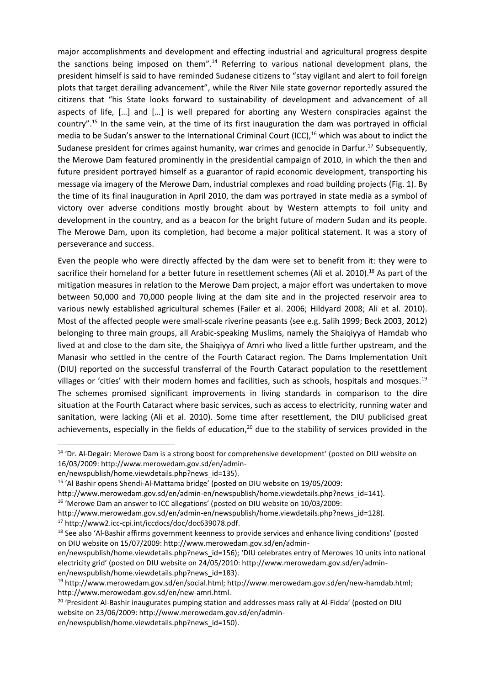major accomplishments and development and effecting industrial and agricultural progress despite the sanctions being imposed on them".<sup>14</sup> Referring to various national development plans, the president himself is said to have reminded Sudanese citizens to "stay vigilant and alert to foil foreign plots that target derailing advancement", while the River Nile state governor reportedly assured the citizens that "his State looks forward to sustainability of development and advancement of all aspects of life, […] and […] is well prepared for aborting any Western conspiracies against the country".<sup>15</sup> In the same vein, at the time of its first inauguration the dam was portrayed in official media to be Sudan's answer to the International Criminal Court (ICC),  $^{16}$  which was about to indict the Sudanese president for crimes against humanity, war crimes and genocide in Darfur.<sup>17</sup> Subsequently, the Merowe Dam featured prominently in the presidential campaign of 2010, in which the then and future president portrayed himself as a guarantor of rapid economic development, transporting his message via imagery of the Merowe Dam, industrial complexes and road building projects (Fig. 1). By the time of its final inauguration in April 2010, the dam was portrayed in state media as a symbol of victory over adverse conditions mostly brought about by Western attempts to foil unity and development in the country, and as a beacon for the bright future of modern Sudan and its people. The Merowe Dam, upon its completion, had become a major political statement. It was a story of perseverance and success.

Even the people who were directly affected by the dam were set to benefit from it: they were to sacrifice their homeland for a better future in resettlement schemes (Ali et al. 2010).<sup>18</sup> As part of the mitigation measures in relation to the Merowe Dam project, a major effort was undertaken to move between 50,000 and 70,000 people living at the dam site and in the projected reservoir area to various newly established agricultural schemes (Failer et al. 2006; Hildyard 2008; Ali et al. 2010). Most of the affected people were small-scale riverine peasants (see e.g. Salih 1999; Beck 2003, 2012) belonging to three main groups, all Arabic-speaking Muslims, namely the Shaiqiyya of Hamdab who lived at and close to the dam site, the Shaiqiyya of Amri who lived a little further upstream, and the Manasir who settled in the centre of the Fourth Cataract region. The Dams Implementation Unit (DIU) reported on the successful transferral of the Fourth Cataract population to the resettlement villages or 'cities' with their modern homes and facilities, such as schools, hospitals and mosques.<sup>19</sup> The schemes promised significant improvements in living standards in comparison to the dire situation at the Fourth Cataract where basic services, such as access to electricity, running water and sanitation, were lacking (Ali et al. 2010). Some time after resettlement, the DIU publicised great achievements, especially in the fields of education, $20$  due to the stability of services provided in the

<sup>17</sup> http://www2.icc-cpi.int/iccdocs/doc/doc639078.pdf.

<sup>&</sup>lt;sup>14</sup> 'Dr. Al-Degair: Merowe Dam is a strong boost for comprehensive development' (posted on DIU website on 16/03/2009: http://www.merowedam.gov.sd/en/admin-

en/newspublish/home.viewdetails.php?news\_id=135).

<sup>&</sup>lt;sup>15</sup> 'Al Bashir opens Shendi-Al-Mattama bridge' (posted on DIU website on 19/05/2009:

http://www.merowedam.gov.sd/en/admin-en/newspublish/home.viewdetails.php?news\_id=141).

<sup>&</sup>lt;sup>16</sup> 'Merowe Dam an answer to ICC allegations' (posted on DIU website on 10/03/2009:

http://www.merowedam.gov.sd/en/admin-en/newspublish/home.viewdetails.php?news\_id=128).

<sup>&</sup>lt;sup>18</sup> See also 'Al-Bashir affirms government keenness to provide services and enhance living conditions' (posted on DIU website on 15/07/2009: http://www.merowedam.gov.sd/en/admin-

en/newspublish/home.viewdetails.php?news\_id=156); 'DIU celebrates entry of Merowes 10 units into national electricity grid' (posted on DIU website on 24/05/2010: http://www.merowedam.gov.sd/en/adminen/newspublish/home.viewdetails.php?news\_id=183).

<sup>&</sup>lt;sup>19</sup> [http://www.merowedam.gov.sd/en/social.html;](http://www.merowedam.gov.sd/en/social.html) http://www.merowedam.gov.sd/en/new-hamdab.html; http://www.merowedam.gov.sd/en/new-amri.html.

<sup>&</sup>lt;sup>20</sup> 'President Al-Bashir inaugurates pumping station and addresses mass rally at Al-Fidda' (posted on DIU website on 23/06/2009: http://www.merowedam.gov.sd/en/adminen/newspublish/home.viewdetails.php?news\_id=150).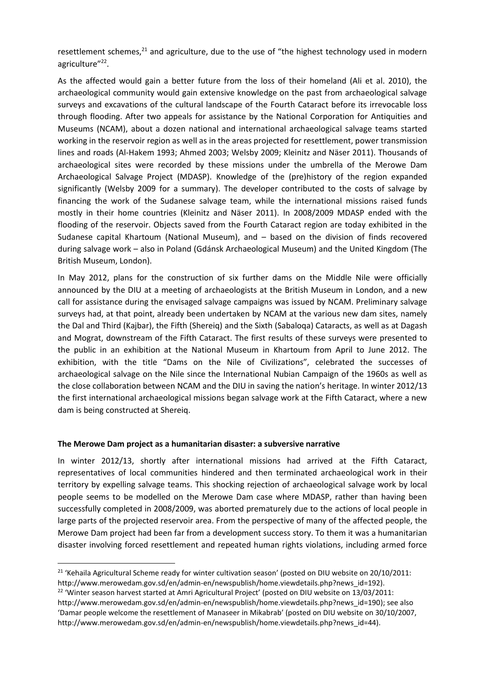resettlement schemes.<sup>21</sup> and agriculture, due to the use of "the highest technology used in modern agriculture"<sup>22</sup>.

As the affected would gain a better future from the loss of their homeland (Ali et al. 2010), the archaeological community would gain extensive knowledge on the past from archaeological salvage surveys and excavations of the cultural landscape of the Fourth Cataract before its irrevocable loss through flooding. After two appeals for assistance by the National Corporation for Antiquities and Museums (NCAM), about a dozen national and international archaeological salvage teams started working in the reservoir region as well as in the areas projected for resettlement, power transmission lines and roads (Al-Hakem 1993; Ahmed 2003; Welsby 2009; Kleinitz and Näser 2011). Thousands of archaeological sites were recorded by these missions under the umbrella of the Merowe Dam Archaeological Salvage Project (MDASP). Knowledge of the (pre)history of the region expanded significantly (Welsby 2009 for a summary). The developer contributed to the costs of salvage by financing the work of the Sudanese salvage team, while the international missions raised funds mostly in their home countries (Kleinitz and Näser 2011). In 2008/2009 MDASP ended with the flooding of the reservoir. Objects saved from the Fourth Cataract region are today exhibited in the Sudanese capital Khartoum (National Museum), and – based on the division of finds recovered during salvage work – also in Poland (Gdánsk Archaeological Museum) and the United Kingdom (The British Museum, London).

In May 2012, plans for the construction of six further dams on the Middle Nile were officially announced by the DIU at a meeting of archaeologists at the British Museum in London, and a new call for assistance during the envisaged salvage campaigns was issued by NCAM. Preliminary salvage surveys had, at that point, already been undertaken by NCAM at the various new dam sites, namely the Dal and Third (Kajbar), the Fifth (Shereiq) and the Sixth (Sabaloqa) Cataracts, as well as at Dagash and Mograt, downstream of the Fifth Cataract. The first results of these surveys were presented to the public in an exhibition at the National Museum in Khartoum from April to June 2012. The exhibition, with the title "Dams on the Nile of Civilizations", celebrated the successes of archaeological salvage on the Nile since the International Nubian Campaign of the 1960s as well as the close collaboration between NCAM and the DIU in saving the nation's heritage. In winter 2012/13 the first international archaeological missions began salvage work at the Fifth Cataract, where a new dam is being constructed at Shereiq.

# **The Merowe Dam project as a humanitarian disaster: a subversive narrative**

In winter 2012/13, shortly after international missions had arrived at the Fifth Cataract, representatives of local communities hindered and then terminated archaeological work in their territory by expelling salvage teams. This shocking rejection of archaeological salvage work by local people seems to be modelled on the Merowe Dam case where MDASP, rather than having been successfully completed in 2008/2009, was aborted prematurely due to the actions of local people in large parts of the projected reservoir area. From the perspective of many of the affected people, the Merowe Dam project had been far from a development success story. To them it was a humanitarian disaster involving forced resettlement and repeated human rights violations, including armed force

<sup>&</sup>lt;sup>21</sup> 'Kehaila Agricultural Scheme ready for winter cultivation season' (posted on DIU website on 20/10/2011:

http://www.merowedam.gov.sd/en/admin-en/newspublish/home.viewdetails.php?news\_id=192).

<sup>22</sup> 'Winter season harvest started at Amri Agricultural Project' (posted on DIU website on 13/03/2011: [http://www.merowedam.gov.sd/en/admin-en/newspublish/home.viewdetails.php?news\\_id=190\)](http://www.merowedam.gov.sd/en/admin-en/newspublish/home.viewdetails.php?news_id=190); see also 'Damar people welcome the resettlement of Manaseer in Mikabrab' (posted on DIU website on 30/10/2007, http://www.merowedam.gov.sd/en/admin-en/newspublish/home.viewdetails.php?news\_id=44).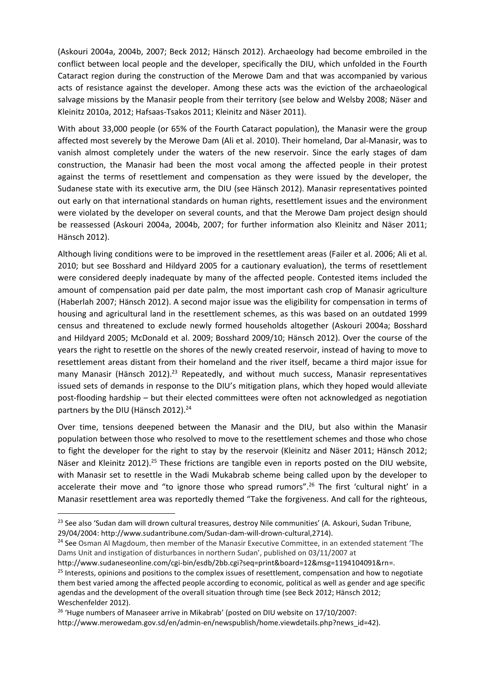(Askouri 2004a, 2004b, 2007; Beck 2012; Hänsch 2012). Archaeology had become embroiled in the conflict between local people and the developer, specifically the DIU, which unfolded in the Fourth Cataract region during the construction of the Merowe Dam and that was accompanied by various acts of resistance against the developer. Among these acts was the eviction of the archaeological salvage missions by the Manasir people from their territory (see below and Welsby 2008; Näser and Kleinitz 2010a, 2012; Hafsaas-Tsakos 2011; Kleinitz and Näser 2011).

With about 33,000 people (or 65% of the Fourth Cataract population), the Manasir were the group affected most severely by the Merowe Dam (Ali et al. 2010). Their homeland, Dar al-Manasir, was to vanish almost completely under the waters of the new reservoir. Since the early stages of dam construction, the Manasir had been the most vocal among the affected people in their protest against the terms of resettlement and compensation as they were issued by the developer, the Sudanese state with its executive arm, the DIU (see Hänsch 2012). Manasir representatives pointed out early on that international standards on human rights, resettlement issues and the environment were violated by the developer on several counts, and that the Merowe Dam project design should be reassessed (Askouri 2004a, 2004b, 2007; for further information also Kleinitz and Näser 2011; Hänsch 2012).

Although living conditions were to be improved in the resettlement areas (Failer et al. 2006; Ali et al. 2010; but see Bosshard and Hildyard 2005 for a cautionary evaluation), the terms of resettlement were considered deeply inadequate by many of the affected people. Contested items included the amount of compensation paid per date palm, the most important cash crop of Manasir agriculture (Haberlah 2007; Hänsch 2012). A second major issue was the eligibility for compensation in terms of housing and agricultural land in the resettlement schemes, as this was based on an outdated 1999 census and threatened to exclude newly formed households altogether (Askouri 2004a; Bosshard and Hildyard 2005; McDonald et al. 2009; Bosshard 2009/10; Hänsch 2012). Over the course of the years the right to resettle on the shores of the newly created reservoir, instead of having to move to resettlement areas distant from their homeland and the river itself, became a third major issue for many Manasir (Hänsch 2012).<sup>23</sup> Repeatedly, and without much success, Manasir representatives issued sets of demands in response to the DIU's mitigation plans, which they hoped would alleviate post-flooding hardship – but their elected committees were often not acknowledged as negotiation partners by the DIU (Hänsch 2012). $^{24}$ 

Over time, tensions deepened between the Manasir and the DIU, but also within the Manasir population between those who resolved to move to the resettlement schemes and those who chose to fight the developer for the right to stay by the reservoir (Kleinitz and Näser 2011; Hänsch 2012; Näser and Kleinitz 2012).<sup>25</sup> These frictions are tangible even in reports posted on the DIU website, with Manasir set to resettle in the Wadi Mukabrab scheme being called upon by the developer to accelerate their move and "to ignore those who spread rumors".<sup>26</sup> The first 'cultural night' in a Manasir resettlement area was reportedly themed "Take the forgiveness. And call for the righteous,

<sup>&</sup>lt;sup>23</sup> See also 'Sudan dam will drown cultural treasures, destroy Nile communities' (A. Askouri, Sudan Tribune, 29/04/2004: http://www.sudantribune.com/Sudan-dam-will-drown-cultural,2714).

<sup>&</sup>lt;sup>24</sup> See Osman Al Magdoum, then member of the Manasir Executive Committee, in an extended statement 'The Dams Unit and instigation of disturbances in northern Sudan', published on 03/11/2007 at

http://www.sudaneseonline.com/cgi-bin/esdb/2bb.cgi?seq=print&board=12&msg=1194104091&rn=.

<sup>&</sup>lt;sup>25</sup> Interests, opinions and positions to the complex issues of resettlement, compensation and how to negotiate them best varied among the affected people according to economic, political as well as gender and age specific agendas and the development of the overall situation through time (see Beck 2012; Hänsch 2012; Weschenfelder 2012).

<sup>&</sup>lt;sup>26</sup> 'Huge numbers of Manaseer arrive in Mikabrab' (posted on DIU website on 17/10/2007:

http://www.merowedam.gov.sd/en/admin-en/newspublish/home.viewdetails.php?news\_id=42).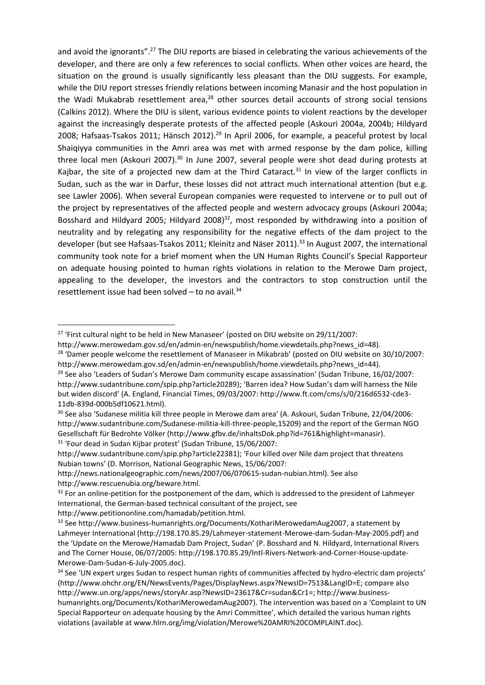and avoid the ignorants".<sup>27</sup> The DIU reports are biased in celebrating the various achievements of the developer, and there are only a few references to social conflicts. When other voices are heard, the situation on the ground is usually significantly less pleasant than the DIU suggests. For example, while the DIU report stresses friendly relations between incoming Manasir and the host population in the Wadi Mukabrab resettlement area, $^{28}$  other sources detail accounts of strong social tensions (Calkins 2012). Where the DIU is silent, various evidence points to violent reactions by the developer against the increasingly desperate protests of the affected people (Askouri 2004a, 2004b; Hildyard 2008; Hafsaas-Tsakos 2011; Hänsch 2012).<sup>29</sup> In April 2006, for example, a peaceful protest by local Shaiqiyya communities in the Amri area was met with armed response by the dam police, killing three local men (Askouri 2007).<sup>30</sup> In June 2007, several people were shot dead during protests at Kajbar, the site of a projected new dam at the Third Cataract.<sup>31</sup> In view of the larger conflicts in Sudan, such as the war in Darfur, these losses did not attract much international attention (but e.g. see Lawler 2006). When several European companies were requested to intervene or to pull out of the project by representatives of the affected people and western advocacy groups (Askouri 2004a; Bosshard and Hildyard 2005; Hildyard 2008)<sup>32</sup>, most responded by withdrawing into a position of neutrality and by relegating any responsibility for the negative effects of the dam project to the developer (but see Hafsaas-Tsakos 2011; Kleinitz and Näser 2011).<sup>33</sup> In August 2007, the international community took note for a brief moment when the UN Human Rights Council's Special Rapporteur on adequate housing pointed to human rights violations in relation to the Merowe Dam project, appealing to the developer, the investors and the contractors to stop construction until the resettlement issue had been solved  $-$  to no avail.<sup>34</sup>

 $27$  'First cultural night to be held in New Manaseer' (posted on DIU website on 29/11/2007:

http://www.merowedam.gov.sd/en/admin-en/newspublish/home.viewdetails.php?news\_id=48).

<sup>&</sup>lt;sup>28</sup> 'Damer people welcome the resettlement of Manaseer in Mikabrab' (posted on DIU website on 30/10/2007: http://www.merowedam.gov.sd/en/admin-en/newspublish/home.viewdetails.php?news\_id=44).

<sup>&</sup>lt;sup>29</sup> See also 'Leaders of Sudan's Merowe Dam community escape assassination' (Sudan Tribune, 16/02/2007: [http://www.sudantribune.com/spip.php?article20289\)](http://www.sudantribune.com/spip.php?article20289); 'Barren idea? How Sudan's dam will harness the Nile but widen discord' (A. England, Financial Times, 09/03/2007: http://www.ft.com/cms/s/0/216d6532-cde3- 11db-839d-000b5df10621.html).

<sup>&</sup>lt;sup>30</sup> See also 'Sudanese militia kill three people in Merowe dam area' (A. Askouri, Sudan Tribune, 22/04/2006: [http://www.sudantribune.com/Sudanese-militia-kill-three-people,15209\)](http://www.sudantribune.com/Sudanese-militia-kill-three-people,15209) and the report of the German NGO Gesellschaft für Bedrohte Völker (http://www.gfbv.de/inhaltsDok.php?id=761&highlight=manasir). <sup>31</sup> 'Four dead in Sudan Kijbar protest' (Sudan Tribune, 15/06/2007:

http://www.sudantribune.com/spip.php?article22381); 'Four killed over Nile dam project that threatens Nubian towns' (D. Morrison, National Geographic News, 15/06/2007:

http://news.nationalgeographic.com/news/2007/06/070615-sudan-nubian.html). See also http://www.rescuenubia.org/beware.html.

<sup>&</sup>lt;sup>32</sup> For an online-petition for the postponement of the dam, which is addressed to the president of Lahmever International, the German-based technical consultant of the project, see

[http://www.petitiononline.com/hamadab/petition.html.](http://www.petitiononline.com/hamadab/petition.html)

<sup>33</sup> Se[e http://www.business-humanrights.org/Documents/KothariMerowedamAug2007,](http://www.business-humanrights.org/Documents/KothariMerowedamAug2007) a statement by Lahmeyer International [\(http://198.170.85.29/Lahmeyer-statement-Merowe-dam-Sudan-May-2005.pdf\)](http://198.170.85.29/Lahmeyer-statement-Merowe-dam-Sudan-May-2005.pdf) and the 'Update on the Merowe/Hamadab Dam Project, Sudan' (P. Bosshard and N. Hildyard, International Rivers and The Corner House, 06/07/2005: [http://198.170.85.29/Intl-Rivers-Network-and-Corner-House-update-](http://198.170.85.29/Intl-Rivers-Network-and-Corner-House-update-Merowe-Dam-Sudan-6-July-2005.doc)[Merowe-Dam-Sudan-6-July-2005.doc\)](http://198.170.85.29/Intl-Rivers-Network-and-Corner-House-update-Merowe-Dam-Sudan-6-July-2005.doc).

<sup>&</sup>lt;sup>34</sup> See 'UN expert urges Sudan to respect human rights of communities affected by hydro-electric dam projects' [\(http://www.ohchr.org/EN/NewsEvents/Pages/DisplayNews.aspx?NewsID=7513&LangID=E;](http://www.ohchr.org/EN/NewsEvents/Pages/DisplayNews.aspx?NewsID=7513&LangID=E) compare also [http://www.un.org/apps/news/storyAr.asp?NewsID=23617&Cr=sudan&Cr1=](http://www.un.org/apps/news/storyAr.asp?NewsID=23617&Cr=sudan&Cr1); http://www.businesshumanrights.org/Documents/KothariMerowedamAug2007). The intervention was based on a 'Complaint to UN

Special Rapporteur on adequate housing by the Amri Committee', which detailed the various human rights violations (available at www.hlrn.org/img/violation/Merowe%20AMRI%20COMPLAINT.doc).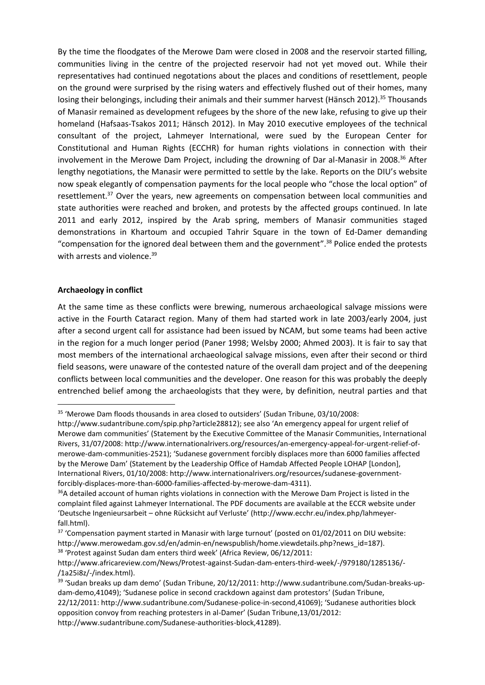By the time the floodgates of the Merowe Dam were closed in 2008 and the reservoir started filling, communities living in the centre of the projected reservoir had not yet moved out. While their representatives had continued negotations about the places and conditions of resettlement, people on the ground were surprised by the rising waters and effectively flushed out of their homes, many losing their belongings, including their animals and their summer harvest (Hänsch 2012).<sup>35</sup> Thousands of Manasir remained as development refugees by the shore of the new lake, refusing to give up their homeland (Hafsaas-Tsakos 2011; Hänsch 2012). In May 2010 executive employees of the technical consultant of the project, Lahmeyer International, were sued by the European Center for Constitutional and Human Rights (ECCHR) for human rights violations in connection with their involvement in the Merowe Dam Project, including the drowning of Dar al-Manasir in 2008.<sup>36</sup> After lengthy negotiations, the Manasir were permitted to settle by the lake. Reports on the DIU's website now speak elegantly of compensation payments for the local people who "chose the local option" of resettlement.<sup>37</sup> Over the years, new agreements on compensation between local communities and state authorities were reached and broken, and protests by the affected groups continued. In late 2011 and early 2012, inspired by the Arab spring, members of Manasir communities staged demonstrations in Khartoum and occupied Tahrir Square in the town of Ed-Damer demanding "compensation for the ignored deal between them and the government". <sup>38</sup> Police ended the protests with arrests and violence.<sup>39</sup>

# **Archaeology in conflict**

At the same time as these conflicts were brewing, numerous archaeological salvage missions were active in the Fourth Cataract region. Many of them had started work in late 2003/early 2004, just after a second urgent call for assistance had been issued by NCAM, but some teams had been active in the region for a much longer period (Paner 1998; Welsby 2000; Ahmed 2003). It is fair to say that most members of the international archaeological salvage missions, even after their second or third field seasons, were unaware of the contested nature of the overall dam project and of the deepening conflicts between local communities and the developer. One reason for this was probably the deeply entrenched belief among the archaeologists that they were, by definition, neutral parties and that

<sup>&</sup>lt;sup>35</sup> 'Merowe Dam floods thousands in area closed to outsiders' (Sudan Tribune, 03/10/2008:

[http://www.sudantribune.com/spip.php?article28812\)](http://www.sudantribune.com/spip.php?article28812); see also 'An emergency appeal for urgent relief of Merowe dam communities' (Statement by the Executive Committee of the Manasir Communities, International Rivers, 31/07/2008: [http://www.internationalrivers.org/resources/an-emergency-appeal-for-urgent-relief-of](http://www.internationalrivers.org/resources/an-emergency-appeal-for-urgent-relief-of-merowe-dam-communities-2521)[merowe-dam-communities-2521](http://www.internationalrivers.org/resources/an-emergency-appeal-for-urgent-relief-of-merowe-dam-communities-2521)); 'Sudanese government forcibly displaces more than 6000 families affected by the Merowe Dam' (Statement by the Leadership Office of Hamdab Affected People LOHAP [London], International Rivers, 01/10/2008: http://www.internationalrivers.org/resources/sudanese-governmentforcibly-displaces-more-than-6000-families-affected-by-merowe-dam-4311).

<sup>&</sup>lt;sup>36</sup>A detailed account of human rights violations in connection with the Merowe Dam Project is listed in the complaint filed against Lahmeyer International. The PDF documents are available at the ECCR website under 'Deutsche Ingenieursarbeit – ohne Rücksicht auf Verluste' [\(http://www.ecchr.eu/index.php/lahmeyer](http://www.ecchr.eu/index.php/lahmeyer-fall.html)[fall.html\)](http://www.ecchr.eu/index.php/lahmeyer-fall.html).

<sup>&</sup>lt;sup>37</sup> 'Compensation payment started in Manasir with large turnout' (posted on 01/02/2011 on DIU website: http://www.merowedam.gov.sd/en/admin-en/newspublish/home.viewdetails.php?news\_id=187).

<sup>&</sup>lt;sup>38</sup> 'Protest against Sudan dam enters third week' (Africa Review, 06/12/2011: http://www.africareview.com/News/Protest-against-Sudan-dam-enters-third-week/-/979180/1285136/- /1a25i8z/-/index.html).

<sup>&</sup>lt;sup>39</sup> 'Sudan breaks up dam demo' (Sudan Tribune, 20/12/2011: [http://www.sudantribune.com/Sudan-breaks-up](http://www.sudantribune.com/Sudan-breaks-up-dam-demo,41049)[dam-demo,41049\)](http://www.sudantribune.com/Sudan-breaks-up-dam-demo,41049); 'Sudanese police in second crackdown against dam protestors' (Sudan Tribune,

<sup>22/12/2011:</sup> [http://www.sudantribune.com/Sudanese-police-in-second,41069\)](http://www.sudantribune.com/Sudanese-police-in-second,41069); 'Sudanese authorities block opposition convoy from reaching protesters in al-Damer' (Sudan Tribune,13/01/2012: http://www.sudantribune.com/Sudanese-authorities-block,41289).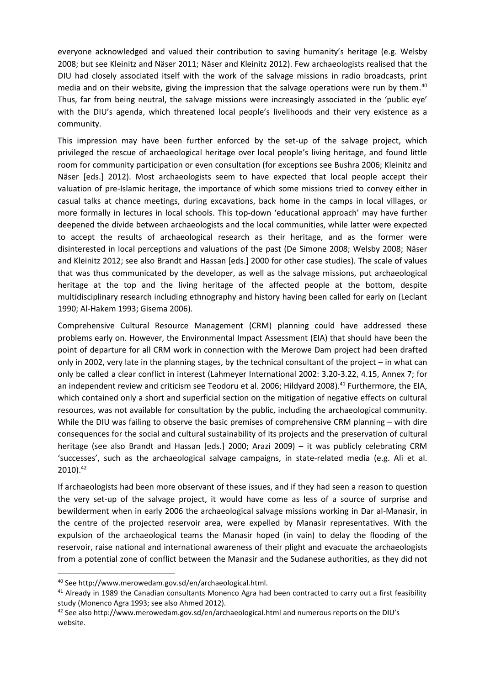everyone acknowledged and valued their contribution to saving humanity's heritage (e.g. Welsby 2008; but see Kleinitz and Näser 2011; Näser and Kleinitz 2012). Few archaeologists realised that the DIU had closely associated itself with the work of the salvage missions in radio broadcasts, print media and on their website, giving the impression that the salvage operations were run by them.<sup>40</sup> Thus, far from being neutral, the salvage missions were increasingly associated in the 'public eye' with the DIU's agenda, which threatened local people's livelihoods and their very existence as a community.

This impression may have been further enforced by the set-up of the salvage project, which privileged the rescue of archaeological heritage over local people's living heritage, and found little room for community participation or even consultation (for exceptions see Bushra 2006; Kleinitz and Näser [eds.] 2012). Most archaeologists seem to have expected that local people accept their valuation of pre-Islamic heritage, the importance of which some missions tried to convey either in casual talks at chance meetings, during excavations, back home in the camps in local villages, or more formally in lectures in local schools. This top-down 'educational approach' may have further deepened the divide between archaeologists and the local communities, while latter were expected to accept the results of archaeological research as their heritage, and as the former were disinterested in local perceptions and valuations of the past (De Simone 2008; Welsby 2008; Näser and Kleinitz 2012; see also Brandt and Hassan [eds.] 2000 for other case studies). The scale of values that was thus communicated by the developer, as well as the salvage missions, put archaeological heritage at the top and the living heritage of the affected people at the bottom, despite multidisciplinary research including ethnography and history having been called for early on (Leclant 1990; Al-Hakem 1993; Gisema 2006).

Comprehensive Cultural Resource Management (CRM) planning could have addressed these problems early on. However, the Environmental Impact Assessment (EIA) that should have been the point of departure for all CRM work in connection with the Merowe Dam project had been drafted only in 2002, very late in the planning stages, by the technical consultant of the project – in what can only be called a clear conflict in interest (Lahmeyer International 2002: 3.20-3.22, 4.15, Annex 7; for an independent review and criticism see Teodoru et al. 2006; Hildyard 2008).<sup>41</sup> Furthermore, the EIA, which contained only a short and superficial section on the mitigation of negative effects on cultural resources, was not available for consultation by the public, including the archaeological community. While the DIU was failing to observe the basic premises of comprehensive CRM planning – with dire consequences for the social and cultural sustainability of its projects and the preservation of cultural heritage (see also Brandt and Hassan [eds.] 2000; Arazi 2009) – it was publicly celebrating CRM 'successes', such as the archaeological salvage campaigns, in state-related media (e.g. Ali et al.  $2010$ ). $42$ 

If archaeologists had been more observant of these issues, and if they had seen a reason to question the very set-up of the salvage project, it would have come as less of a source of surprise and bewilderment when in early 2006 the archaeological salvage missions working in Dar al-Manasir, in the centre of the projected reservoir area, were expelled by Manasir representatives. With the expulsion of the archaeological teams the Manasir hoped (in vain) to delay the flooding of the reservoir, raise national and international awareness of their plight and evacuate the archaeologists from a potential zone of conflict between the Manasir and the Sudanese authorities, as they did not

<sup>40</sup> See http://www.merowedam.gov.sd/en/archaeological.html.

<sup>&</sup>lt;sup>41</sup> Already in 1989 the Canadian consultants Monenco Agra had been contracted to carry out a first feasibility study (Monenco Agra 1993; see also Ahmed 2012).

<sup>42</sup> See also<http://www.merowedam.gov.sd/en/archaeological.html> and numerous reports on the DIU's website.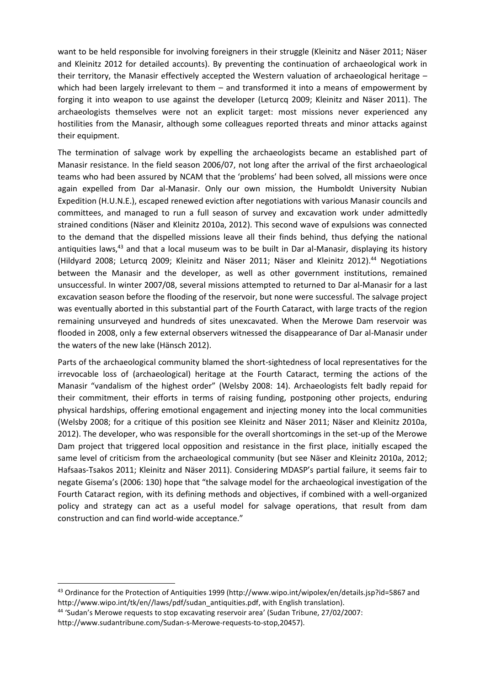want to be held responsible for involving foreigners in their struggle (Kleinitz and Näser 2011; Näser and Kleinitz 2012 for detailed accounts). By preventing the continuation of archaeological work in their territory, the Manasir effectively accepted the Western valuation of archaeological heritage – which had been largely irrelevant to them – and transformed it into a means of empowerment by forging it into weapon to use against the developer (Leturcq 2009; Kleinitz and Näser 2011). The archaeologists themselves were not an explicit target: most missions never experienced any hostilities from the Manasir, although some colleagues reported threats and minor attacks against their equipment.

The termination of salvage work by expelling the archaeologists became an established part of Manasir resistance. In the field season 2006/07, not long after the arrival of the first archaeological teams who had been assured by NCAM that the 'problems' had been solved, all missions were once again expelled from Dar al-Manasir. Only our own mission, the Humboldt University Nubian Expedition (H.U.N.E.), escaped renewed eviction after negotiations with various Manasir councils and committees, and managed to run a full season of survey and excavation work under admittedly strained conditions (Näser and Kleinitz 2010a, 2012). This second wave of expulsions was connected to the demand that the dispelled missions leave all their finds behind, thus defying the national antiquities laws, $43$  and that a local museum was to be built in Dar al-Manasir, displaying its history (Hildyard 2008; Leturcq 2009; Kleinitz and Näser 2011; Näser and Kleinitz 2012).<sup>44</sup> Negotiations between the Manasir and the developer, as well as other government institutions, remained unsuccessful. In winter 2007/08, several missions attempted to returned to Dar al-Manasir for a last excavation season before the flooding of the reservoir, but none were successful. The salvage project was eventually aborted in this substantial part of the Fourth Cataract, with large tracts of the region remaining unsurveyed and hundreds of sites unexcavated. When the Merowe Dam reservoir was flooded in 2008, only a few external observers witnessed the disappearance of Dar al-Manasir under the waters of the new lake (Hänsch 2012).

Parts of the archaeological community blamed the short-sightedness of local representatives for the irrevocable loss of (archaeological) heritage at the Fourth Cataract, terming the actions of the Manasir "vandalism of the highest order" (Welsby 2008: 14). Archaeologists felt badly repaid for their commitment, their efforts in terms of raising funding, postponing other projects, enduring physical hardships, offering emotional engagement and injecting money into the local communities (Welsby 2008; for a critique of this position see Kleinitz and Näser 2011; Näser and Kleinitz 2010a, 2012). The developer, who was responsible for the overall shortcomings in the set-up of the Merowe Dam project that triggered local opposition and resistance in the first place, initially escaped the same level of criticism from the archaeological community (but see Näser and Kleinitz 2010a, 2012; Hafsaas-Tsakos 2011; Kleinitz and Näser 2011). Considering MDASP's partial failure, it seems fair to negate Gisema's (2006: 130) hope that "the salvage model for the archaeological investigation of the Fourth Cataract region, with its defining methods and objectives, if combined with a well-organized policy and strategy can act as a useful model for salvage operations, that result from dam construction and can find world-wide acceptance."

<sup>43</sup> Ordinance for the Protection of Antiquities 1999 (http://www.wipo.int/wipolex/en/details.jsp?id=5867 and http://www.wipo.int/tk/en//laws/pdf/sudan\_antiquities.pdf, with English translation).

<sup>44</sup> 'Sudan's Merowe requests to stop excavating reservoir area' (Sudan Tribune, 27/02/2007: http://www.sudantribune.com/Sudan-s-Merowe-requests-to-stop,20457).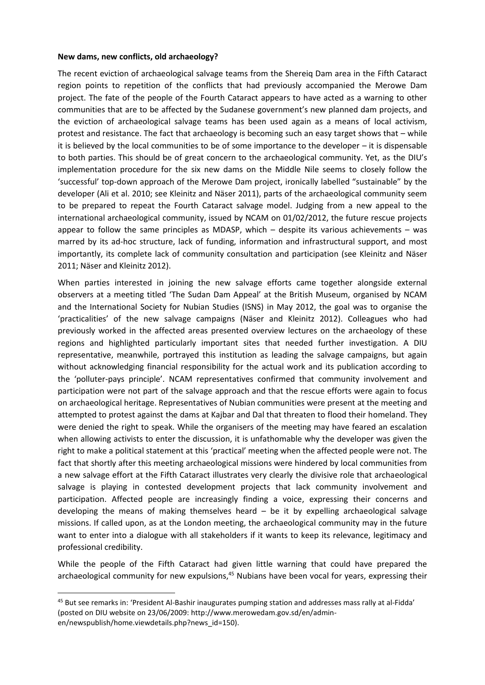#### **New dams, new conflicts, old archaeology?**

The recent eviction of archaeological salvage teams from the Shereiq Dam area in the Fifth Cataract region points to repetition of the conflicts that had previously accompanied the Merowe Dam project. The fate of the people of the Fourth Cataract appears to have acted as a warning to other communities that are to be affected by the Sudanese government's new planned dam projects, and the eviction of archaeological salvage teams has been used again as a means of local activism, protest and resistance. The fact that archaeology is becoming such an easy target shows that – while it is believed by the local communities to be of some importance to the developer – it is dispensable to both parties. This should be of great concern to the archaeological community. Yet, as the DIU's implementation procedure for the six new dams on the Middle Nile seems to closely follow the 'successful' top-down approach of the Merowe Dam project, ironically labelled "sustainable" by the developer (Ali et al. 2010; see Kleinitz and Näser 2011), parts of the archaeological community seem to be prepared to repeat the Fourth Cataract salvage model. Judging from a new appeal to the international archaeological community, issued by NCAM on 01/02/2012, the future rescue projects appear to follow the same principles as MDASP, which  $-$  despite its various achievements  $-$  was marred by its ad-hoc structure, lack of funding, information and infrastructural support, and most importantly, its complete lack of community consultation and participation (see Kleinitz and Näser 2011; Näser and Kleinitz 2012).

When parties interested in joining the new salvage efforts came together alongside external observers at a meeting titled 'The Sudan Dam Appeal' at the British Museum, organised by NCAM and the International Society for Nubian Studies (ISNS) in May 2012, the goal was to organise the 'practicalities' of the new salvage campaigns (Näser and Kleinitz 2012). Colleagues who had previously worked in the affected areas presented overview lectures on the archaeology of these regions and highlighted particularly important sites that needed further investigation. A DIU representative, meanwhile, portrayed this institution as leading the salvage campaigns, but again without acknowledging financial responsibility for the actual work and its publication according to the 'polluter-pays principle'. NCAM representatives confirmed that community involvement and participation were not part of the salvage approach and that the rescue efforts were again to focus on archaeological heritage. Representatives of Nubian communities were present at the meeting and attempted to protest against the dams at Kajbar and Dal that threaten to flood their homeland. They were denied the right to speak. While the organisers of the meeting may have feared an escalation when allowing activists to enter the discussion, it is unfathomable why the developer was given the right to make a political statement at this 'practical' meeting when the affected people were not. The fact that shortly after this meeting archaeological missions were hindered by local communities from a new salvage effort at the Fifth Cataract illustrates very clearly the divisive role that archaeological salvage is playing in contested development projects that lack community involvement and participation. Affected people are increasingly finding a voice, expressing their concerns and developing the means of making themselves heard  $-$  be it by expelling archaeological salvage missions. If called upon, as at the London meeting, the archaeological community may in the future want to enter into a dialogue with all stakeholders if it wants to keep its relevance, legitimacy and professional credibility.

While the people of the Fifth Cataract had given little warning that could have prepared the archaeological community for new expulsions,<sup>45</sup> Nubians have been vocal for years, expressing their

<sup>45</sup> But see remarks in: 'President Al-Bashir inaugurates pumping station and addresses mass rally at al-Fidda' (posted on DIU website on 23/06/2009: http://www.merowedam.gov.sd/en/adminen/newspublish/home.viewdetails.php?news\_id=150).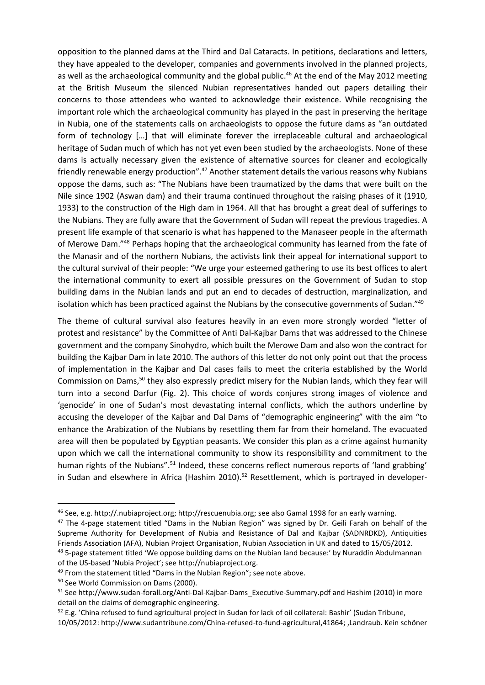opposition to the planned dams at the Third and Dal Cataracts. In petitions, declarations and letters, they have appealed to the developer, companies and governments involved in the planned projects, as well as the archaeological community and the global public.<sup>46</sup> At the end of the May 2012 meeting at the British Museum the silenced Nubian representatives handed out papers detailing their concerns to those attendees who wanted to acknowledge their existence. While recognising the important role which the archaeological community has played in the past in preserving the heritage in Nubia, one of the statements calls on archaeologists to oppose the future dams as "an outdated form of technology […] that will eliminate forever the irreplaceable cultural and archaeological heritage of Sudan much of which has not yet even been studied by the archaeologists. None of these dams is actually necessary given the existence of alternative sources for cleaner and ecologically friendly renewable energy production".<sup>47</sup> Another statement details the various reasons why Nubians oppose the dams, such as: "The Nubians have been traumatized by the dams that were built on the Nile since 1902 (Aswan dam) and their trauma continued throughout the raising phases of it (1910, 1933) to the construction of the High dam in 1964. All that has brought a great deal of sufferings to the Nubians. They are fully aware that the Government of Sudan will repeat the previous tragedies. A present life example of that scenario is what has happened to the Manaseer people in the aftermath of Merowe Dam."<sup>48</sup> Perhaps hoping that the archaeological community has learned from the fate of the Manasir and of the northern Nubians, the activists link their appeal for international support to the cultural survival of their people: "We urge your esteemed gathering to use its best offices to alert the international community to exert all possible pressures on the Government of Sudan to stop building dams in the Nubian lands and put an end to decades of destruction, marginalization, and isolation which has been practiced against the Nubians by the consecutive governments of Sudan." $49$ 

The theme of cultural survival also features heavily in an even more strongly worded "letter of protest and resistance" by the Committee of Anti Dal-Kajbar Dams that was addressed to the Chinese government and the company Sinohydro, which built the Merowe Dam and also won the contract for building the Kajbar Dam in late 2010. The authors of this letter do not only point out that the process of implementation in the Kajbar and Dal cases fails to meet the criteria established by the World Commission on Dams,<sup>50</sup> they also expressly predict misery for the Nubian lands, which they fear will turn into a second Darfur (Fig. 2). This choice of words conjures strong images of violence and 'genocide' in one of Sudan's most devastating internal conflicts, which the authors underline by accusing the developer of the Kajbar and Dal Dams of "demographic engineering" with the aim "to enhance the Arabization of the Nubians by resettling them far from their homeland. The evacuated area will then be populated by Egyptian peasants. We consider this plan as a crime against humanity upon which we call the international community to show its responsibility and commitment to the human rights of the Nubians".<sup>51</sup> Indeed, these concerns reflect numerous reports of 'land grabbing' in Sudan and elsewhere in Africa (Hashim 2010).<sup>52</sup> Resettlement, which is portrayed in developer-

of the US-based 'Nubia Project'; see http://nubiaproject.org.

<sup>46</sup> See, e.g. [http://.nubiaproject.org;](http://.nubiaproject.org/) [http://rescuenubia.org;](http://rescuenubia.org/) see also Gamal 1998 for an early warning.

<sup>&</sup>lt;sup>47</sup> The 4-page statement titled "Dams in the Nubian Region" was signed by Dr. Geili Farah on behalf of the Supreme Authority for Development of Nubia and Resistance of Dal and Kajbar (SADNRDKD), Antiquities Friends Association (AFA), Nubian Project Organisation, Nubian Association in UK and dated to 15/05/2012. <sup>48</sup> 5-page statement titled 'We oppose building dams on the Nubian land because:' by Nuraddin Abdulmannan

<sup>&</sup>lt;sup>49</sup> From the statement titled "Dams in the Nubian Region"; see note above.

<sup>50</sup> See World Commission on Dams (2000).

<sup>51</sup> Se[e http://www.sudan-forall.org/Anti-Dal-Kajbar-Dams\\_Executive-Summary.pdf](http://www.sudan-forall.org/Anti-Dal-Kajbar-Dams_Executive-Summary.pdf) and Hashim (2010) in more detail on the claims of demographic engineering.

 $52$  E.g. 'China refused to fund agricultural project in Sudan for lack of oil collateral: Bashir' (Sudan Tribune, 10/05/2012:<http://www.sudantribune.com/China-refused-to-fund-agricultural,41864>; ,Landraub. Kein schöner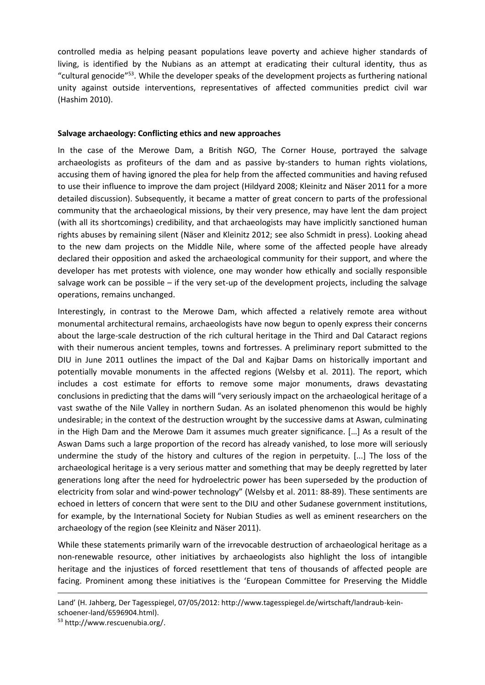controlled media as helping peasant populations leave poverty and achieve higher standards of living, is identified by the Nubians as an attempt at eradicating their cultural identity, thus as "cultural genocide"<sup>53</sup>. While the developer speaks of the development projects as furthering national unity against outside interventions, representatives of affected communities predict civil war (Hashim 2010).

#### **Salvage archaeology: Conflicting ethics and new approaches**

In the case of the Merowe Dam, a British NGO, The Corner House, portrayed the salvage archaeologists as profiteurs of the dam and as passive by-standers to human rights violations, accusing them of having ignored the plea for help from the affected communities and having refused to use their influence to improve the dam project (Hildyard 2008; Kleinitz and Näser 2011 for a more detailed discussion). Subsequently, it became a matter of great concern to parts of the professional community that the archaeological missions, by their very presence, may have lent the dam project (with all its shortcomings) credibility, and that archaeologists may have implicitly sanctioned human rights abuses by remaining silent (Näser and Kleinitz 2012; see also Schmidt in press). Looking ahead to the new dam projects on the Middle Nile, where some of the affected people have already declared their opposition and asked the archaeological community for their support, and where the developer has met protests with violence, one may wonder how ethically and socially responsible salvage work can be possible – if the very set-up of the development projects, including the salvage operations, remains unchanged.

Interestingly, in contrast to the Merowe Dam, which affected a relatively remote area without monumental architectural remains, archaeologists have now begun to openly express their concerns about the large-scale destruction of the rich cultural heritage in the Third and Dal Cataract regions with their numerous ancient temples, towns and fortresses. A preliminary report submitted to the DIU in June 2011 outlines the impact of the Dal and Kajbar Dams on historically important and potentially movable monuments in the affected regions (Welsby et al. 2011). The report, which includes a cost estimate for efforts to remove some major monuments, draws devastating conclusions in predicting that the dams will "very seriously impact on the archaeological heritage of a vast swathe of the Nile Valley in northern Sudan. As an isolated phenomenon this would be highly undesirable; in the context of the destruction wrought by the successive dams at Aswan, culminating in the High Dam and the Merowe Dam it assumes much greater significance. […] As a result of the Aswan Dams such a large proportion of the record has already vanished, to lose more will seriously undermine the study of the history and cultures of the region in perpetuity. [...] The loss of the archaeological heritage is a very serious matter and something that may be deeply regretted by later generations long after the need for hydroelectric power has been superseded by the production of electricity from solar and wind-power technology" (Welsby et al. 2011: 88-89). These sentiments are echoed in letters of concern that were sent to the DIU and other Sudanese government institutions, for example, by the International Society for Nubian Studies as well as eminent researchers on the archaeology of the region (see Kleinitz and Näser 2011).

While these statements primarily warn of the irrevocable destruction of archaeological heritage as a non-renewable resource, other initiatives by archaeologists also highlight the loss of intangible heritage and the injustices of forced resettlement that tens of thousands of affected people are facing. Prominent among these initiatives is the 'European Committee for Preserving the Middle

Land' (H. Jahberg, Der Tagesspiegel, 07/05/2012: http://www.tagesspiegel.de/wirtschaft/landraub-keinschoener-land/6596904.html).

<sup>53</sup> [http://www.rescuenubia.org/.](http://www.rescuenubia.org/)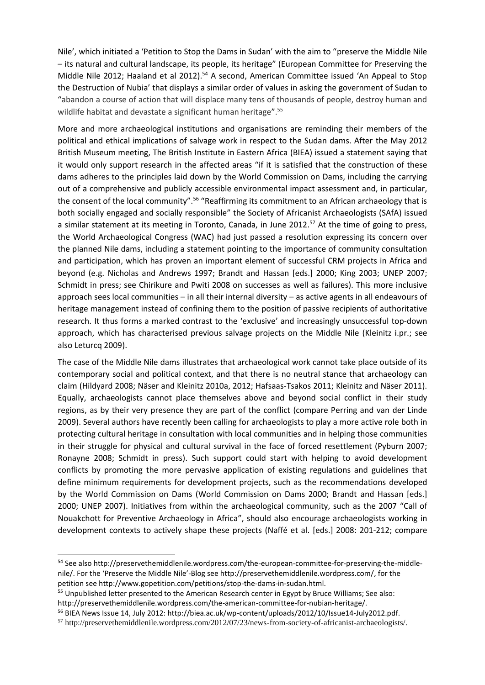Nile', which initiated a 'Petition to Stop the Dams in Sudan' with the aim to "preserve the Middle Nile – its natural and cultural landscape, its people, its heritage" (European Committee for Preserving the Middle Nile 2012; Haaland et al 2012).<sup>54</sup> A second, American Committee issued 'An Appeal to Stop the Destruction of Nubia' that displays a similar order of values in asking the government of Sudan to "abandon a course of action that will displace many tens of thousands of people, destroy human and wildlife habitat and devastate a significant human heritage".<sup>55</sup>

More and more archaeological institutions and organisations are reminding their members of the political and ethical implications of salvage work in respect to the Sudan dams. After the May 2012 British Museum meeting, The British Institute in Eastern Africa (BIEA) issued a statement saying that it would only support research in the affected areas "if it is satisfied that the construction of these dams adheres to the principles laid down by the World Commission on Dams, including the carrying out of a comprehensive and publicly accessible environmental impact assessment and, in particular, the consent of the local community".<sup>56</sup> "Reaffirming its commitment to an African archaeology that is both socially engaged and socially responsible" the Society of Africanist Archaeologists (SAfA) issued a similar statement at its meeting in Toronto, Canada, in June 2012. <sup>57</sup> At the time of going to press, the World Archaeological Congress (WAC) had just passed a resolution expressing its concern over the planned Nile dams, including a statement pointing to the importance of community consultation and participation, which has proven an important element of successful CRM projects in Africa and beyond (e.g. Nicholas and Andrews 1997; Brandt and Hassan [eds.] 2000; King 2003; UNEP 2007; Schmidt in press; see Chirikure and Pwiti 2008 on successes as well as failures). This more inclusive approach sees local communities – in all their internal diversity – as active agents in all endeavours of heritage management instead of confining them to the position of passive recipients of authoritative research. It thus forms a marked contrast to the 'exclusive' and increasingly unsuccessful top-down approach, which has characterised previous salvage projects on the Middle Nile (Kleinitz i.pr.; see also Leturcq 2009).

The case of the Middle Nile dams illustrates that archaeological work cannot take place outside of its contemporary social and political context, and that there is no neutral stance that archaeology can claim (Hildyard 2008; Näser and Kleinitz 2010a, 2012; Hafsaas-Tsakos 2011; Kleinitz and Näser 2011). Equally, archaeologists cannot place themselves above and beyond social conflict in their study regions, as by their very presence they are part of the conflict (compare Perring and van der Linde 2009). Several authors have recently been calling for archaeologists to play a more active role both in protecting cultural heritage in consultation with local communities and in helping those communities in their struggle for physical and cultural survival in the face of forced resettlement (Pyburn 2007; Ronayne 2008; Schmidt in press). Such support could start with helping to avoid development conflicts by promoting the more pervasive application of existing regulations and guidelines that define minimum requirements for development projects, such as the recommendations developed by the World Commission on Dams (World Commission on Dams 2000; Brandt and Hassan [eds.] 2000; UNEP 2007). Initiatives from within the archaeological community, such as the 2007 "Call of Nouakchott for Preventive Archaeology in Africa", should also encourage archaeologists working in development contexts to actively shape these projects (Naffé et al. [eds.] 2008: 201-212; compare

<sup>&</sup>lt;sup>54</sup> See also [http://preservethemiddlenile.wordpress.com/the-european-committee-for-preserving-the-middle](http://preservethemiddlenile.wordpress.com/the-european-committee-for-preserving-the-middle-nile/)[nile/.](http://preservethemiddlenile.wordpress.com/the-european-committee-for-preserving-the-middle-nile/) For the 'Preserve the Middle Nile'-Blog se[e http://preservethemiddlenile.wordpress.com/,](http://preservethemiddlenile.wordpress.com/) for the petition see http://www.gopetition.com/petitions/stop-the-dams-in-sudan.html.

<sup>&</sup>lt;sup>55</sup> Unpublished letter presented to the American Research center in Egypt by Bruce Williams; See also: [http://preservethemiddlenile.wordpress.com/the-american-committee-for-nubian-heritage/.](http://preservethemiddlenile.wordpress.com/the-american-committee-for-nubian-heritage/)

<sup>56</sup> BIEA News Issue 14, July 2012: http://biea.ac.uk/wp-content/uploads/2012/10/Issue14-July2012.pdf.

<sup>57</sup> http://preservethemiddlenile.wordpress.com/2012/07/23/news-from-society-of-africanist-archaeologists/.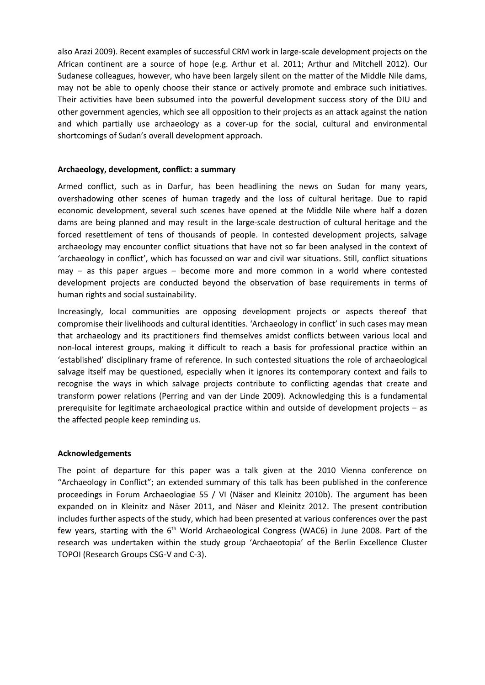also Arazi 2009). Recent examples of successful CRM work in large-scale development projects on the African continent are a source of hope (e.g. Arthur et al. 2011; Arthur and Mitchell 2012). Our Sudanese colleagues, however, who have been largely silent on the matter of the Middle Nile dams, may not be able to openly choose their stance or actively promote and embrace such initiatives. Their activities have been subsumed into the powerful development success story of the DIU and other government agencies, which see all opposition to their projects as an attack against the nation and which partially use archaeology as a cover-up for the social, cultural and environmental shortcomings of Sudan's overall development approach.

# **Archaeology, development, conflict: a summary**

Armed conflict, such as in Darfur, has been headlining the news on Sudan for many years, overshadowing other scenes of human tragedy and the loss of cultural heritage. Due to rapid economic development, several such scenes have opened at the Middle Nile where half a dozen dams are being planned and may result in the large-scale destruction of cultural heritage and the forced resettlement of tens of thousands of people. In contested development projects, salvage archaeology may encounter conflict situations that have not so far been analysed in the context of 'archaeology in conflict', which has focussed on war and civil war situations. Still, conflict situations may – as this paper argues – become more and more common in a world where contested development projects are conducted beyond the observation of base requirements in terms of human rights and social sustainability.

Increasingly, local communities are opposing development projects or aspects thereof that compromise their livelihoods and cultural identities. 'Archaeology in conflict' in such cases may mean that archaeology and its practitioners find themselves amidst conflicts between various local and non-local interest groups, making it difficult to reach a basis for professional practice within an 'established' disciplinary frame of reference. In such contested situations the role of archaeological salvage itself may be questioned, especially when it ignores its contemporary context and fails to recognise the ways in which salvage projects contribute to conflicting agendas that create and transform power relations (Perring and van der Linde 2009). Acknowledging this is a fundamental prerequisite for legitimate archaeological practice within and outside of development projects – as the affected people keep reminding us.

# **Acknowledgements**

The point of departure for this paper was a talk given at the 2010 Vienna conference on "Archaeology in Conflict"; an extended summary of this talk has been published in the conference proceedings in Forum Archaeologiae 55 / VI (Näser and Kleinitz 2010b). The argument has been expanded on in Kleinitz and Näser 2011, and Näser and Kleinitz 2012. The present contribution includes further aspects of the study, which had been presented at various conferences over the past few years, starting with the 6<sup>th</sup> World Archaeological Congress (WAC6) in June 2008. Part of the research was undertaken within the study group 'Archaeotopia' of the Berlin Excellence Cluster TOPOI (Research Groups CSG-V and C-3).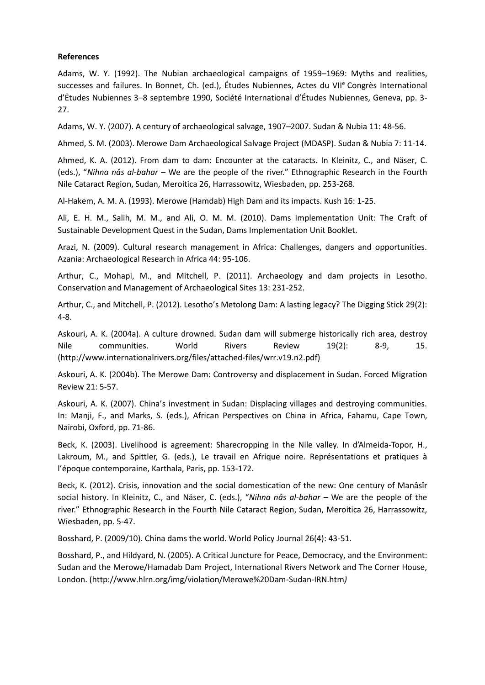# **References**

Adams, W. Y. (1992). The Nubian archaeological campaigns of 1959–1969: Myths and realities, successes and failures. In Bonnet, Ch. (ed.), Études Nubiennes, Actes du VII<sup>e</sup> Congrès International d'Ėtudes Nubiennes 3*–*8 septembre 1990, Société International d'Études Nubiennes, Geneva, pp. 3- 27.

Adams, W. Y. (2007). A century of archaeological salvage, 1907*–*2007. Sudan & Nubia 11: 48-56.

Ahmed, S. M. (2003). Merowe Dam Archaeological Salvage Project (MDASP). Sudan & Nubia 7: 11-14.

Ahmed, K. A. (2012). From dam to dam: Encounter at the cataracts. In Kleinitz, C., and Näser, C. (eds.), "*Nihna nâs al-bahar* – We are the people of the river." Ethnographic Research in the Fourth Nile Cataract Region, Sudan, Meroitica 26, Harrassowitz, Wiesbaden, pp. 253-268.

Al-Hakem, A. M. A. (1993). Merowe (Hamdab) High Dam and its impacts. Kush 16: 1-25.

Ali, E. H. M., Salih, M. M., and Ali, O. M. M. (2010). Dams Implementation Unit: The Craft of Sustainable Development Quest in the Sudan, Dams Implementation Unit Booklet.

Arazi, N. (2009). Cultural research management in Africa: Challenges, dangers and opportunities. Azania: Archaeological Research in Africa 44: 95-106.

Arthur, C., Mohapi, M., and Mitchell, P. (2011). Archaeology and dam projects in Lesotho. Conservation and Management of Archaeological Sites 13: 231-252.

Arthur, C., and Mitchell, P. (2012). Lesotho's Metolong Dam: A lasting legacy? The Digging Stick 29(2): 4-8.

Askouri, A. K. (2004a). A culture drowned. Sudan dam will submerge historically rich area, destroy Nile communities. World Rivers Review 19(2): 8-9, 15. (http://www.internationalrivers.org/files/attached-files/wrr.v19.n2.pdf)

Askouri, A. K. (2004b). The Merowe Dam: Controversy and displacement in Sudan. Forced Migration Review 21: 5-57.

Askouri, A. K. (2007). China's investment in Sudan: Displacing villages and destroying communities. In: Manji, F., and Marks, S. (eds.), African Perspectives on China in Africa, Fahamu, Cape Town, Nairobi, Oxford, pp. 71-86.

Beck, K. (2003). Livelihood is agreement: Sharecropping in the Nile valley. In d'Almeida-Topor, H., Lakroum, M., and Spittler, G. (eds.), Le travail en Afrique noire. Représentations et pratiques à l'époque contemporaine, Karthala, Paris, pp. 153-172.

Beck, K. (2012). Crisis, innovation and the social domestication of the new: One century of Manâsîr social history. In Kleinitz, C., and Näser, C. (eds.), "*Nihna nâs al-bahar* – We are the people of the river." Ethnographic Research in the Fourth Nile Cataract Region, Sudan, Meroitica 26, Harrassowitz, Wiesbaden, pp. 5-47.

Bosshard, P. (2009/10). China dams the world. World Policy Journal 26(4): 43-51.

Bosshard, P., and Hildyard, N. (2005). A Critical Juncture for Peace, Democracy, and the Environment: Sudan and the Merowe/Hamadab Dam Project, International Rivers Network and The Corner House, London. (http://www.hlrn.org/img/violation/Merowe%20Dam-Sudan-IRN.htm*)*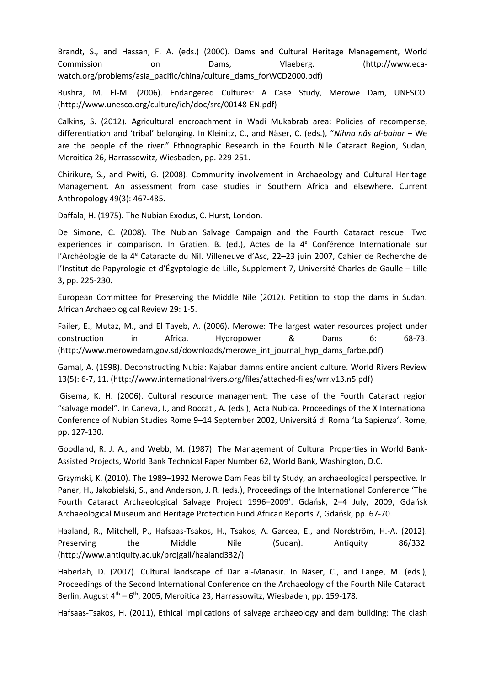Brandt, S., and Hassan, F. A. (eds.) (2000). Dams and Cultural Heritage Management, World Commission on Dams, Vlaeberg. (http://www.ecawatch.org/problems/asia\_pacific/china/culture\_dams\_forWCD2000.pdf)

Bushra, M. El-M. (2006). Endangered Cultures: A Case Study, Merowe Dam, UNESCO. (http://www.unesco.org/culture/ich/doc/src/00148-EN.pdf)

Calkins, S. (2012). Agricultural encroachment in Wadi Mukabrab area: Policies of recompense, differentiation and 'tribal' belonging. In Kleinitz, C., and Näser, C. (eds.), "*Nihna nâs al-bahar* – We are the people of the river." Ethnographic Research in the Fourth Nile Cataract Region, Sudan, Meroitica 26, Harrassowitz, Wiesbaden, pp. 229-251.

Chirikure, S., and Pwiti, G. (2008). Community involvement in Archaeology and Cultural Heritage Management. An assessment from case studies in Southern Africa and elsewhere. Current Anthropology 49(3): 467-485.

Daffala, H. (1975). The Nubian Exodus, C. Hurst, London.

De Simone, C. (2008). The Nubian Salvage Campaign and the Fourth Cataract rescue: Two experiences in comparison. In Gratien, B. (ed.), Actes de la 4<sup>e</sup> Conférence Internationale sur l'Archéologie de la 4<sup>e</sup> Cataracte du Nil. Villeneuve d'Asc, 22-23 juin 2007, Cahier de Recherche de l'Institut de Papyrologie et d'Égyptologie de Lille, Supplement 7, Université Charles-de-Gaulle – Lille 3, pp. 225-230.

European Committee for Preserving the Middle Nile (2012). Petition to stop the dams in Sudan. African Archaeological Review 29: 1-5.

Failer, E., Mutaz, M., and El Tayeb, A. (2006). Merowe: The largest water resources project under construction in Africa. Hydropower & Dams 6: 68-73. (http://www.merowedam.gov.sd/downloads/merowe\_int\_journal\_hyp\_dams\_farbe.pdf)

Gamal, A. (1998). Deconstructing Nubia: Kajabar damns entire ancient culture. World Rivers Review 13(5): 6-7, 11. (http://www.internationalrivers.org/files/attached-files/wrr.v13.n5.pdf)

Gisema, K. H. (2006). Cultural resource management: The case of the Fourth Cataract region "salvage model". In Caneva, I., and Roccati, A. (eds.), Acta Nubica. Proceedings of the X International Conference of Nubian Studies Rome 9*–*14 September 2002, Universitá di Roma 'La Sapienza', Rome, pp. 127-130.

Goodland, R. J. A., and Webb, M. (1987). The Management of Cultural Properties in World Bank-Assisted Projects, World Bank Technical Paper Number 62, World Bank, Washington, D.C.

Grzymski, K. (2010). The 1989–1992 Merowe Dam Feasibility Study, an archaeological perspective. In Paner, H., Jakobielski, S., and Anderson, J. R. (eds.), Proceedings of the International Conference 'The Fourth Cataract Archaeological Salvage Project 1996–2009'. Gdańsk, 2*–*4 July, 2009, Gdańsk Archaeological Museum and Heritage Protection Fund African Reports 7, Gdańsk, pp. 67-70.

Haaland, R., Mitchell, P., Hafsaas-Tsakos, H., Tsakos, A. Garcea, E., and Nordström, H.-A. (2012). Preserving the Middle Nile (Sudan). Antiquity 86/332. (http://www.antiquity.ac.uk/projgall/haaland332/)

Haberlah, D. (2007). Cultural landscape of Dar al-Manasir. In Näser, C., and Lange, M. (eds.), Proceedings of the Second International Conference on the Archaeology of the Fourth Nile Cataract. Berlin, August 4<sup>th</sup> – 6<sup>th</sup>, 2005, Meroitica 23, Harrassowitz, Wiesbaden, pp. 159-178.

Hafsaas-Tsakos, H. (2011), Ethical implications of salvage archaeology and dam building: The clash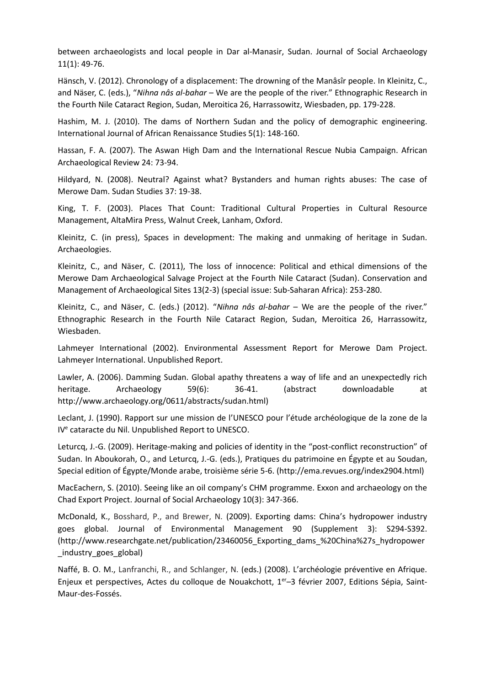between archaeologists and local people in Dar al-Manasir, Sudan. Journal of Social Archaeology 11(1): 49-76.

Hänsch, V. (2012). Chronology of a displacement: The drowning of the Manâsîr people. In Kleinitz, C., and Näser, C. (eds.), "*Nihna nâs al-bahar* – We are the people of the river." Ethnographic Research in the Fourth Nile Cataract Region, Sudan, Meroitica 26, Harrassowitz, Wiesbaden, pp. 179-228.

Hashim, M. J. (2010). The dams of Northern Sudan and the policy of demographic engineering. International Journal of African Renaissance Studies 5(1): 148-160.

Hassan, F. A. (2007). The Aswan High Dam and the International Rescue Nubia Campaign. African Archaeological Review 24: 73-94.

Hildyard, N. (2008). Neutral? Against what? Bystanders and human rights abuses: The case of Merowe Dam. Sudan Studies 37: 19-38.

King, T. F. (2003). Places That Count: Traditional Cultural Properties in Cultural Resource Management, AltaMira Press, Walnut Creek, Lanham, Oxford.

Kleinitz, C. (in press), Spaces in development: The making and unmaking of heritage in Sudan. Archaeologies.

Kleinitz, C., and Näser, C. (2011), The loss of innocence: Political and ethical dimensions of the Merowe Dam Archaeological Salvage Project at the Fourth Nile Cataract (Sudan). Conservation and Management of Archaeological Sites 13(2-3) (special issue: Sub-Saharan Africa): 253-280.

Kleinitz, C., and Näser, C. (eds.) (2012). "*Nihna nâs al-bahar* – We are the people of the river." Ethnographic Research in the Fourth Nile Cataract Region, Sudan, Meroitica 26, Harrassowitz, Wiesbaden.

Lahmeyer International (2002). Environmental Assessment Report for Merowe Dam Project. Lahmeyer International. Unpublished Report.

Lawler, A. (2006). Damming Sudan. Global apathy threatens a way of life and an unexpectedly rich heritage. Archaeology 59(6): 36-41. (abstract downloadable at http://www.archaeology.org/0611/abstracts/sudan.html)

Leclant, J. (1990). Rapport sur une mission de l'UNESCO pour l'étude archéologique de la zone de la IV<sup>e</sup> cataracte du Nil. Unpublished Report to UNESCO.

Leturcq, J.-G. (2009). Heritage-making and policies of identity in the "post-conflict reconstruction" of Sudan. In Aboukorah, O., and Leturcq, J.-G. (eds.), Pratiques du patrimoine en Égypte et au Soudan, Special edition of Égypte/Monde arabe, troisième série 5-6. (http://ema.revues.org/index2904.html)

MacEachern, S. (2010). Seeing like an oil company's CHM programme. Exxon and archaeology on the Chad Export Project. Journal of Social Archaeology 10(3): 347-366.

McDonald, K., Bosshard, P., and Brewer, N. (2009). Exporting dams: China's hydropower industry goes global. Journal of Environmental Management 90 (Supplement 3): S294-S392. [\(http://www.researchgate.net/publication/23460056\\_Exporting\\_dams\\_%20China%27s\\_hydropower](http://rivers.bee.oregonstate.edu/china_dam_study/JEM%20aticles/mcdonald_et_al_2008.pdf)) [\\_industry\\_goes\\_global\)](http://rivers.bee.oregonstate.edu/china_dam_study/JEM%20aticles/mcdonald_et_al_2008.pdf))

Naffé, B. O. M., Lanfranchi, R., and Schlanger, N. (eds.) (2008). L'archéologie préventive en Afrique. Enjeux et perspectives, Actes du colloque de Nouakchott, 1<sup>er</sup>–3 février 2007, Editions Sépia, Saint-Maur-des-Fossés.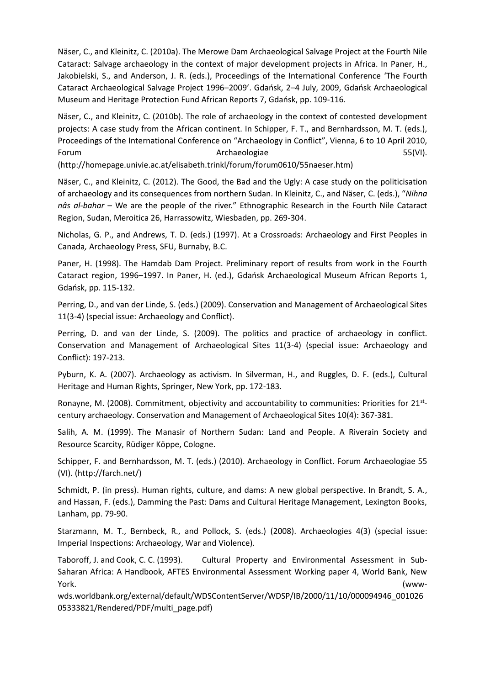Näser, C., and Kleinitz, C. (2010a). The Merowe Dam Archaeological Salvage Project at the Fourth Nile Cataract: Salvage archaeology in the context of major development projects in Africa. In Paner, H., Jakobielski, S., and Anderson, J. R. (eds.), Proceedings of the International Conference 'The Fourth Cataract Archaeological Salvage Project 1996–2009'. Gdańsk, 2–4 July, 2009, Gdańsk Archaeological Museum and Heritage Protection Fund African Reports 7, Gdańsk, pp. 109-116.

Näser, C., and Kleinitz, C. (2010b). The role of archaeology in the context of contested development projects: A case study from the African continent. In Schipper, F. T., and Bernhardsson, M. T. (eds.), Proceedings of the International Conference on "Archaeology in Conflict", Vienna, 6 to 10 April 2010, Forum and the settlement of the Archaeologiae contracts and the SS(VI).

(http://homepage.univie.ac.at/elisabeth.trinkl/forum/forum0610/55naeser.htm)

Näser, C., and Kleinitz, C. (2012). The Good, the Bad and the Ugly: A case study on the politicisation of archaeology and its consequences from northern Sudan. In Kleinitz, C., and Näser, C. (eds.), "*Nihna nâs al-bahar* – We are the people of the river." Ethnographic Research in the Fourth Nile Cataract Region, Sudan, Meroitica 26, Harrassowitz, Wiesbaden, pp. 269-304.

Nicholas, G. P., and Andrews, T. D. (eds.) (1997). At a Crossroads: Archaeology and First Peoples in Canada*,* Archaeology Press, SFU, Burnaby, B.C.

Paner, H. (1998). The Hamdab Dam Project. Preliminary report of results from work in the Fourth Cataract region, 1996–1997. In Paner, H. (ed.), Gdańsk Archaeological Museum African Reports 1, Gdańsk, pp. 115-132.

Perring, D., and van der Linde, S. (eds.) (2009). Conservation and Management of Archaeological Sites 11(3-4) (special issue: Archaeology and Conflict).

Perring, D. and van der Linde, S. (2009). The politics and practice of archaeology in conflict. Conservation and Management of Archaeological Sites 11(3-4) (special issue: Archaeology and Conflict): 197-213.

Pyburn, K. A. (2007). Archaeology as activism. In Silverman, H., and Ruggles, D. F. (eds.), Cultural Heritage and Human Rights, Springer, New York, pp. 172-183.

Ronayne, M. (2008). Commitment, objectivity and accountability to communities: Priorities for 21<sup>st</sup>century archaeology. Conservation and Management of Archaeological Sites 10(4): 367-381.

Salih, A. M. (1999). The Manasir of Northern Sudan: Land and People. A Riverain Society and Resource Scarcity, Rüdiger Köppe, Cologne.

Schipper, F. and Bernhardsson, M. T. (eds.) (2010). Archaeology in Conflict. Forum Archaeologiae 55 (VI). (http://farch.net/)

Schmidt, P. (in press). Human rights, culture, and dams: A new global perspective. In Brandt, S. A., and Hassan, F. (eds.), Damming the Past: Dams and Cultural Heritage Management, Lexington Books, Lanham, pp. 79-90.

Starzmann, M. T., Bernbeck, R., and Pollock, S. (eds.) (2008). Archaeologies 4(3) (special issue: Imperial Inspections: Archaeology, War and Violence).

Taboroff, J. and Cook, C. C. (1993). Cultural Property and Environmental Assessment in Sub-Saharan Africa: A Handbook, AFTES Environmental Assessment Working paper 4, World Bank, New York. (www-

wds.worldbank.org/external/default/WDSContentServer/WDSP/IB/2000/11/10/000094946\_001026 05333821/Rendered/PDF/multi\_page.pdf)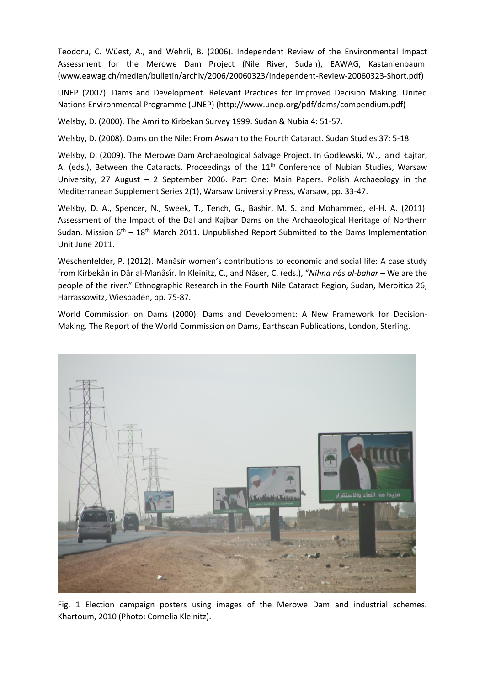Teodoru, C. Wüest, A., and Wehrli, B. (2006). Independent Review of the Environmental Impact Assessment for the Merowe Dam Project (Nile River, Sudan), EAWAG, Kastanienbaum. [\(www.eawag.ch/medien/bulletin/archiv/2006/20060323/Independent-Review-20060323-Short.pdf\)](http://www.eawag.ch/medien/bulletin/archiv/2006/20060323/Independent-Review-20060323-Short.pdf)

UNEP (2007). Dams and Development. Relevant Practices for Improved Decision Making. United Nations Environmental Programme (UNEP) (http://www.unep.org/pdf/dams/compendium.pdf)

Welsby, D. (2000). The Amri to Kirbekan Survey 1999. Sudan & Nubia 4: 51-57.

Welsby, D. (2008). Dams on the Nile: From Aswan to the Fourth Cataract. Sudan Studies 37: 5-18.

Welsby, D. (2009). The Merowe Dam Archaeological Salvage Project. In Godlewski, W., and Łajtar, A. (eds.), Between the Cataracts. Proceedings of the 11<sup>th</sup> Conference of Nubian Studies, Warsaw University, 27 August – 2 September 2006. Part One: Main Papers. Polish Archaeology in the Mediterranean Supplement Series 2(1), Warsaw University Press, Warsaw, pp. 33-47.

Welsby, D. A., Spencer, N., Sweek, T., Tench, G., Bashir, M. S. and Mohammed, el-H. A. (2011). Assessment of the Impact of the Dal and Kajbar Dams on the Archaeological Heritage of Northern Sudan. Mission  $6<sup>th</sup> - 18<sup>th</sup>$  March 2011. Unpublished Report Submitted to the Dams Implementation Unit June 2011.

Weschenfelder, P. (2012). Manâsîr women's contributions to economic and social life: A case study from Kirbekân in Dâr al-Manâsîr. In Kleinitz, C., and Näser, C. (eds.), "*Nihna nâs al-bahar* – We are the people of the river." Ethnographic Research in the Fourth Nile Cataract Region, Sudan, Meroitica 26, Harrassowitz, Wiesbaden, pp. 75-87.

World Commission on Dams (2000). Dams and Development: A New Framework for Decision-Making. The Report of the World Commission on Dams, Earthscan Publications, London, Sterling.



Fig. 1 Election campaign posters using images of the Merowe Dam and industrial schemes. Khartoum, 2010 (Photo: Cornelia Kleinitz).